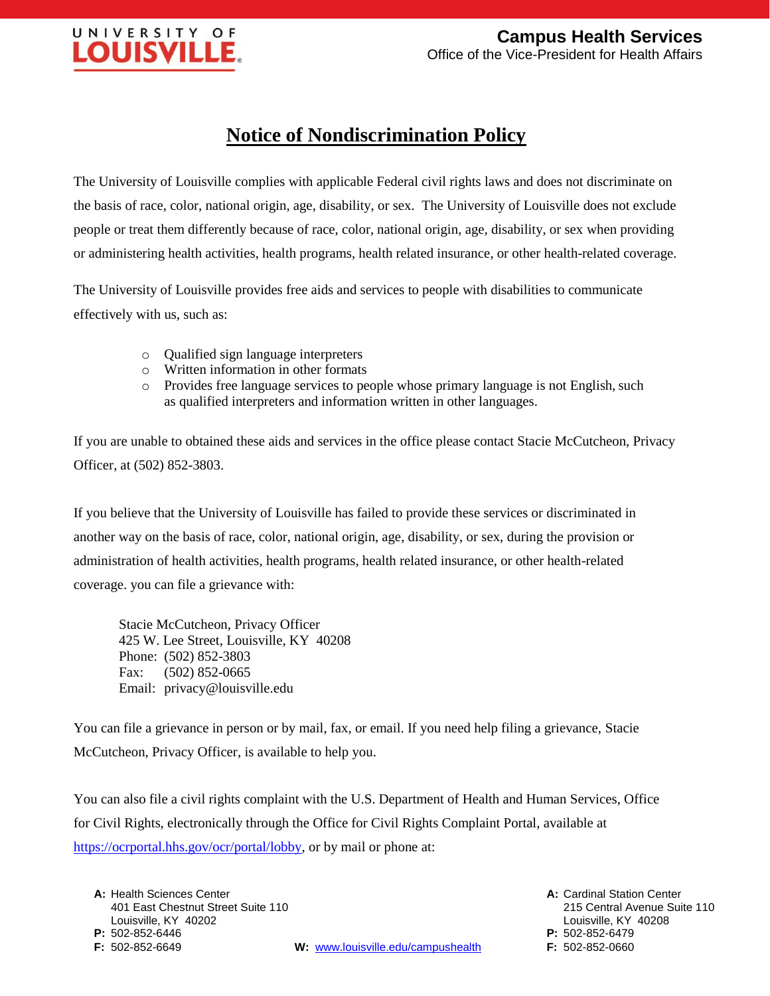

## **Notice of Nondiscrimination Policy**

The University of Louisville complies with applicable Federal civil rights laws and does not discriminate on the basis of race, color, national origin, age, disability, or sex. The University of Louisville does not exclude people or treat them differently because of race, color, national origin, age, disability, or sex when providing or administering health activities, health programs, health related insurance, or other health-related coverage.

The University of Louisville provides free aids and services to people with disabilities to communicate effectively with us, such as:

- o Qualified sign language interpreters
- o Written information in other formats
- o Provides free language services to people whose primary language is not English,such as qualified interpreters and information written in other languages.

If you are unable to obtained these aids and services in the office please contact Stacie McCutcheon, Privacy Officer, at (502) 852-3803.

If you believe that the University of Louisville has failed to provide these services or discriminated in another way on the basis of race, color, national origin, age, disability, or sex, during the provision or administration of health activities, health programs, health related insurance, or other health-related coverage. you can file a grievance with:

Stacie McCutcheon, Privacy Officer 425 W. Lee Street, Louisville, KY 40208 Phone: (502) 852-3803 Fax: (502) 852-0665 Email: privacy@louisville.edu

You can file a grievance in person or by mail, fax, or email. If you need help filing a grievance, Stacie McCutcheon, Privacy Officer, is available to help you.

You can also file a civil rights complaint with the U.S. Department of Health and Human Services, Office for Civil Rights, electronically through the Office for Civil Rights Complaint Portal, available at [https://ocrportal.hhs.gov/ocr/portal/lobby,](https://ocrportal.hhs.gov/ocr/portal/lobby) or by mail or phone at:

**A:** Health Sciences Center **A:** Cardinal Station Center 401 East Chestnut Street Suite 110 215 Central Avenue Suite 110 Louisville, KY 40202 Louisville, KY 40208 **P:** 502-852-6446 **P:** 502-852-6479

 **F:** 502-852-6649 **W:** [www.louisville.edu/campushealth](http://www.louisville.edu/campushealth) **F:** 502-852-0660